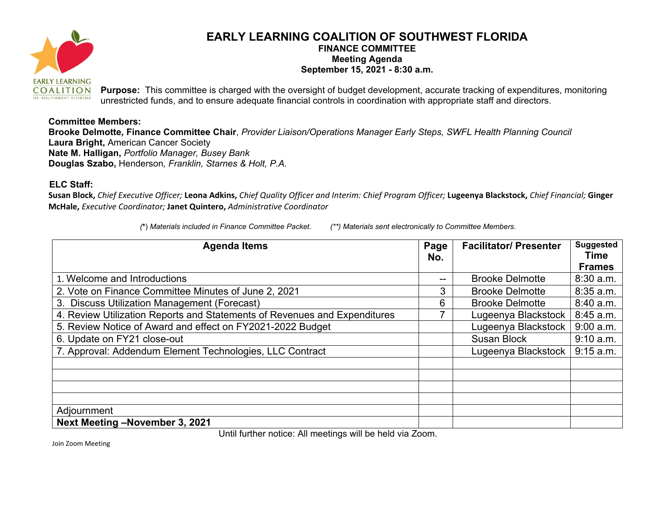

## **EARLY LEARNING COALITION OF SOUTHWEST FLORIDA FINANCE COMMITTEE Meeting Agenda September 15, 2021 - 8:30 a.m.**

**Purpose:** This committee is charged with the oversight of budget development, accurate tracking of expenditures, monitoring unrestricted funds, and to ensure adequate financial controls in coordination with appropriate staff and directors.

## **Committee Members:**

**Brooke Delmotte***,* **Finance Committee Chair**, *Provider Liaison/Operations Manager Early Steps, SWFL Health Planning Council* **Laura Bright,** American Cancer Society **Nate M. Halligan,** *Portfolio Manager, Busey Bank*  **Douglas Szabo,** Henderson*, Franklin, Starnes & Holt, P.A.* 

## **ELC Staff:**

**Susan Block,** *Chief Executive Officer;* **Leona Adkins,** *Chief Quality Officer and Interim: Chief Program Officer;* **Lugeenya Blackstock,** *Chief Financial;* **Ginger McHale,** *Executive Coordinator;* **Janet Quintero,** *Administrative Coordinator*

| <b>Agenda Items</b>                                                       | Page<br>No. | <b>Facilitator/Presenter</b> | <b>Suggested</b><br><b>Time</b> |
|---------------------------------------------------------------------------|-------------|------------------------------|---------------------------------|
|                                                                           |             |                              | <b>Frames</b>                   |
| 1. Welcome and Introductions                                              |             | <b>Brooke Delmotte</b>       | 8:30a.m.                        |
| 2. Vote on Finance Committee Minutes of June 2, 2021                      | 3           | <b>Brooke Delmotte</b>       | $8:35$ a.m.                     |
| 3. Discuss Utilization Management (Forecast)                              | 6           | <b>Brooke Delmotte</b>       | 8:40 a.m.                       |
| 4. Review Utilization Reports and Statements of Revenues and Expenditures |             | Lugeenya Blackstock          | 8:45 a.m.                       |
| 5. Review Notice of Award and effect on FY2021-2022 Budget                |             | Lugeenya Blackstock          | 9:00 a.m.                       |
| 6. Update on FY21 close-out                                               |             | <b>Susan Block</b>           | 9:10 a.m.                       |
| 7. Approval: Addendum Element Technologies, LLC Contract                  |             | Lugeenya Blackstock          | $9:15$ a.m.                     |
|                                                                           |             |                              |                                 |
|                                                                           |             |                              |                                 |
|                                                                           |             |                              |                                 |
|                                                                           |             |                              |                                 |
| Adjournment                                                               |             |                              |                                 |
| Next Meeting -November 3, 2021                                            |             |                              |                                 |

Until further notice: All meetings will be held via Zoom.

Join Zoom Meeting